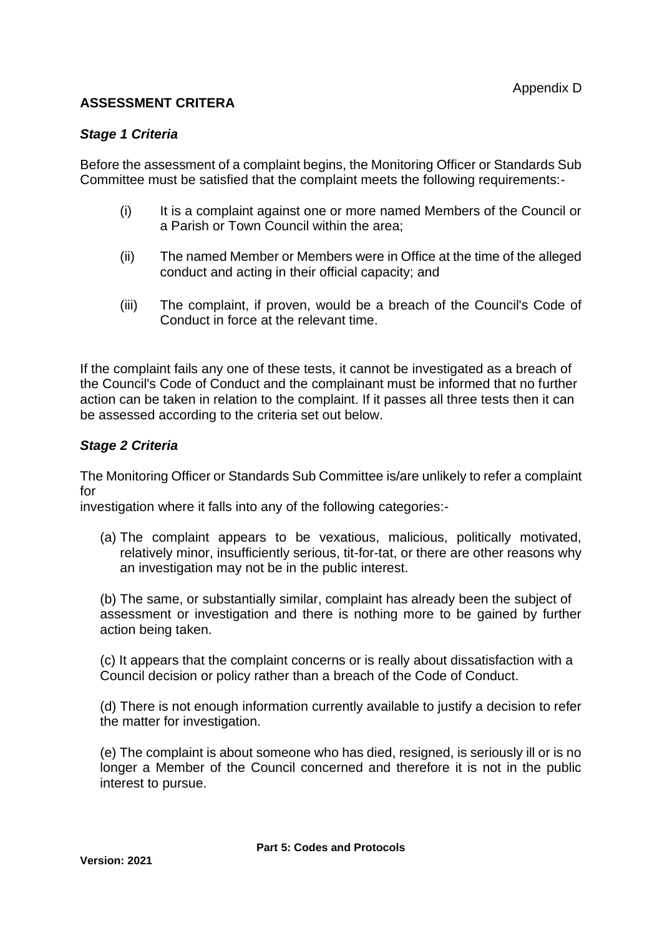## **ASSESSMENT CRITERA**

## *Stage 1 Criteria*

Before the assessment of a complaint begins, the Monitoring Officer or Standards Sub Committee must be satisfied that the complaint meets the following requirements:-

- (i) It is a complaint against one or more named Members of the Council or a Parish or Town Council within the area;
- (ii) The named Member or Members were in Office at the time of the alleged conduct and acting in their official capacity; and
- (iii) The complaint, if proven, would be a breach of the Council's Code of Conduct in force at the relevant time.

If the complaint fails any one of these tests, it cannot be investigated as a breach of the Council's Code of Conduct and the complainant must be informed that no further action can be taken in relation to the complaint. If it passes all three tests then it can be assessed according to the criteria set out below.

## *Stage 2 Criteria*

The Monitoring Officer or Standards Sub Committee is/are unlikely to refer a complaint for

investigation where it falls into any of the following categories:-

(a) The complaint appears to be vexatious, malicious, politically motivated, relatively minor, insufficiently serious, tit-for-tat, or there are other reasons why an investigation may not be in the public interest.

(b) The same, or substantially similar, complaint has already been the subject of assessment or investigation and there is nothing more to be gained by further action being taken.

(c) It appears that the complaint concerns or is really about dissatisfaction with a Council decision or policy rather than a breach of the Code of Conduct.

(d) There is not enough information currently available to justify a decision to refer the matter for investigation.

(e) The complaint is about someone who has died, resigned, is seriously ill or is no longer a Member of the Council concerned and therefore it is not in the public interest to pursue.